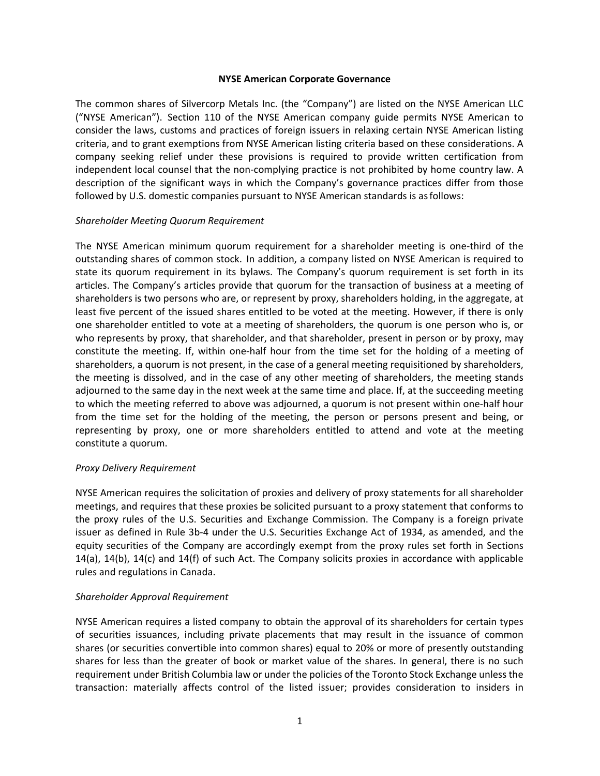## **NYSE American Corporate Governance**

The common shares of Silvercorp Metals Inc. (the "Company") are listed on the NYSE American LLC ("NYSE American"). Section 110 of the NYSE American company guide permits NYSE American to consider the laws, customs and practices of foreign issuers in relaxing certain NYSE American listing criteria, and to grant exemptions from NYSE American listing criteria based on these considerations. A company seeking relief under these provisions is required to provide written certification from independent local counsel that the non-complying practice is not prohibited by home country law. A description of the significant ways in which the Company's governance practices differ from those followed by U.S. domestic companies pursuant to NYSE American standards is as follows:

## *Shareholder Meeting Quorum Requirement*

The NYSE American minimum quorum requirement for a shareholder meeting is one-third of the outstanding shares of common stock. In addition, a company listed on NYSE American is required to state its quorum requirement in its bylaws. The Company's quorum requirement is set forth in its articles. The Company's articles provide that quorum for the transaction of business at a meeting of shareholders is two persons who are, or represent by proxy, shareholders holding, in the aggregate, at least five percent of the issued shares entitled to be voted at the meeting. However, if there is only one shareholder entitled to vote at a meeting of shareholders, the quorum is one person who is, or who represents by proxy, that shareholder, and that shareholder, present in person or by proxy, may constitute the meeting. If, within one-half hour from the time set for the holding of a meeting of shareholders, a quorum is not present, in the case of a general meeting requisitioned by shareholders, the meeting is dissolved, and in the case of any other meeting of shareholders, the meeting stands adjourned to the same day in the next week at the same time and place. If, at the succeeding meeting to which the meeting referred to above was adjourned, a quorum is not present within one‐half hour from the time set for the holding of the meeting, the person or persons present and being, or representing by proxy, one or more shareholders entitled to attend and vote at the meeting constitute a quorum.

## *Proxy Delivery Requirement*

NYSE American requires the solicitation of proxies and delivery of proxy statements for all shareholder meetings, and requires that these proxies be solicited pursuant to a proxy statement that conforms to the proxy rules of the U.S. Securities and Exchange Commission. The Company is a foreign private issuer as defined in Rule 3b‐4 under the U.S. Securities Exchange Act of 1934, as amended, and the equity securities of the Company are accordingly exempt from the proxy rules set forth in Sections 14(a), 14(b), 14(c) and 14(f) of such Act. The Company solicits proxies in accordance with applicable rules and regulations in Canada.

## *Shareholder Approval Requirement*

NYSE American requires a listed company to obtain the approval of its shareholders for certain types of securities issuances, including private placements that may result in the issuance of common shares (or securities convertible into common shares) equal to 20% or more of presently outstanding shares for less than the greater of book or market value of the shares. In general, there is no such requirement under British Columbia law or under the policies of the Toronto Stock Exchange unless the transaction: materially affects control of the listed issuer; provides consideration to insiders in